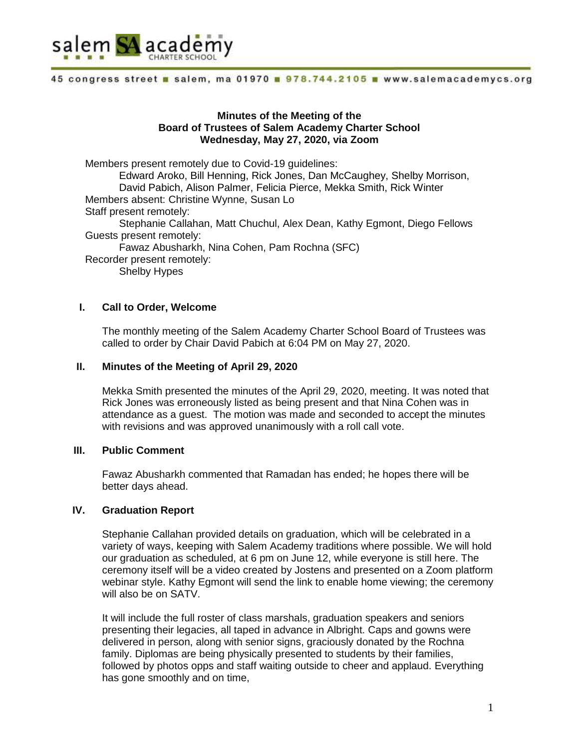

## **Minutes of the Meeting of the Board of Trustees of Salem Academy Charter School Wednesday, May 27, 2020, via Zoom**

Members present remotely due to Covid-19 guidelines: Edward Aroko, Bill Henning, Rick Jones, Dan McCaughey, Shelby Morrison, David Pabich, Alison Palmer, Felicia Pierce, Mekka Smith, Rick Winter Members absent: Christine Wynne, Susan Lo Staff present remotely: Stephanie Callahan, Matt Chuchul, Alex Dean, Kathy Egmont, Diego Fellows Guests present remotely: Fawaz Abusharkh, Nina Cohen, Pam Rochna (SFC) Recorder present remotely: Shelby Hypes

## **I. Call to Order, Welcome**

The monthly meeting of the Salem Academy Charter School Board of Trustees was called to order by Chair David Pabich at 6:04 PM on May 27, 2020.

## **II. Minutes of the Meeting of April 29, 2020**

Mekka Smith presented the minutes of the April 29, 2020, meeting. It was noted that Rick Jones was erroneously listed as being present and that Nina Cohen was in attendance as a guest. The motion was made and seconded to accept the minutes with revisions and was approved unanimously with a roll call vote.

## **III. Public Comment**

Fawaz Abusharkh commented that Ramadan has ended; he hopes there will be better days ahead.

# **IV. Graduation Report**

Stephanie Callahan provided details on graduation, which will be celebrated in a variety of ways, keeping with Salem Academy traditions where possible. We will hold our graduation as scheduled, at 6 pm on June 12, while everyone is still here. The ceremony itself will be a video created by Jostens and presented on a Zoom platform webinar style. Kathy Egmont will send the link to enable home viewing; the ceremony will also be on SATV.

It will include the full roster of class marshals, graduation speakers and seniors presenting their legacies, all taped in advance in Albright. Caps and gowns were delivered in person, along with senior signs, graciously donated by the Rochna family. Diplomas are being physically presented to students by their families, followed by photos opps and staff waiting outside to cheer and applaud. Everything has gone smoothly and on time,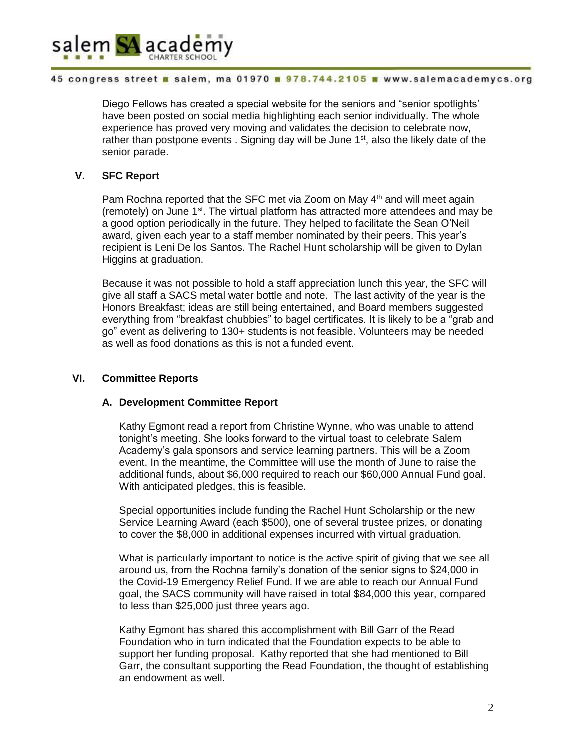

Diego Fellows has created a special website for the seniors and "senior spotlights' have been posted on social media highlighting each senior individually. The whole experience has proved very moving and validates the decision to celebrate now, rather than postpone events . Signing day will be June 1<sup>st</sup>, also the likely date of the senior parade.

# **V. SFC Report**

Pam Rochna reported that the SFC met via Zoom on May 4<sup>th</sup> and will meet again (remotely) on June 1<sup>st</sup>. The virtual platform has attracted more attendees and may be a good option periodically in the future. They helped to facilitate the Sean O'Neil award, given each year to a staff member nominated by their peers. This year's recipient is Leni De los Santos. The Rachel Hunt scholarship will be given to Dylan Higgins at graduation.

Because it was not possible to hold a staff appreciation lunch this year, the SFC will give all staff a SACS metal water bottle and note. The last activity of the year is the Honors Breakfast; ideas are still being entertained, and Board members suggested everything from "breakfast chubbies" to bagel certificates. It is likely to be a "grab and go" event as delivering to 130+ students is not feasible. Volunteers may be needed as well as food donations as this is not a funded event.

# **VI. Committee Reports**

## **A. Development Committee Report**

Kathy Egmont read a report from Christine Wynne, who was unable to attend tonight's meeting. She looks forward to the virtual toast to celebrate Salem Academy's gala sponsors and service learning partners. This will be a Zoom event. In the meantime, the Committee will use the month of June to raise the additional funds, about \$6,000 required to reach our \$60,000 Annual Fund goal. With anticipated pledges, this is feasible.

Special opportunities include funding the Rachel Hunt Scholarship or the new Service Learning Award (each \$500), one of several trustee prizes, or donating to cover the \$8,000 in additional expenses incurred with virtual graduation.

What is particularly important to notice is the active spirit of giving that we see all around us, from the Rochna family's donation of the senior signs to \$24,000 in the Covid-19 Emergency Relief Fund. If we are able to reach our Annual Fund goal, the SACS community will have raised in total \$84,000 this year, compared to less than \$25,000 just three years ago.

Kathy Egmont has shared this accomplishment with Bill Garr of the Read Foundation who in turn indicated that the Foundation expects to be able to support her funding proposal. Kathy reported that she had mentioned to Bill Garr, the consultant supporting the Read Foundation, the thought of establishing an endowment as well.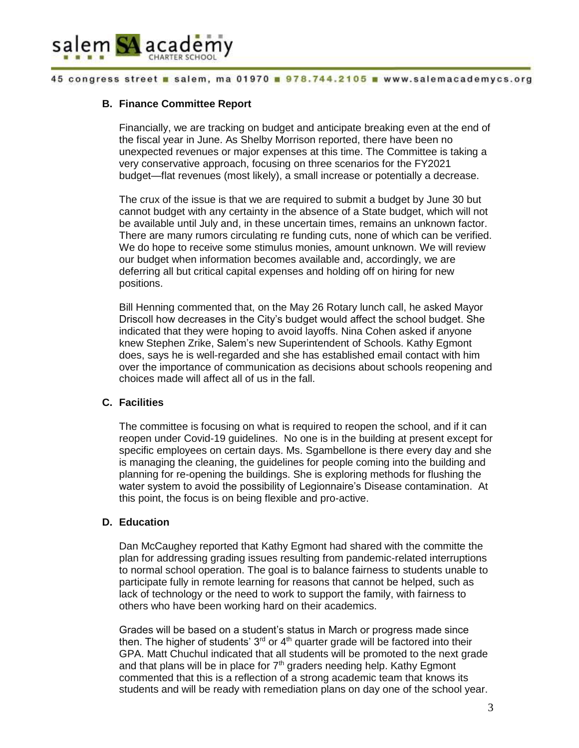

# **B. Finance Committee Report**

Financially, we are tracking on budget and anticipate breaking even at the end of the fiscal year in June. As Shelby Morrison reported, there have been no unexpected revenues or major expenses at this time. The Committee is taking a very conservative approach, focusing on three scenarios for the FY2021 budget—flat revenues (most likely), a small increase or potentially a decrease.

The crux of the issue is that we are required to submit a budget by June 30 but cannot budget with any certainty in the absence of a State budget, which will not be available until July and, in these uncertain times, remains an unknown factor. There are many rumors circulating re funding cuts, none of which can be verified. We do hope to receive some stimulus monies, amount unknown. We will review our budget when information becomes available and, accordingly, we are deferring all but critical capital expenses and holding off on hiring for new positions.

Bill Henning commented that, on the May 26 Rotary lunch call, he asked Mayor Driscoll how decreases in the City's budget would affect the school budget. She indicated that they were hoping to avoid layoffs. Nina Cohen asked if anyone knew Stephen Zrike, Salem's new Superintendent of Schools. Kathy Egmont does, says he is well-regarded and she has established email contact with him over the importance of communication as decisions about schools reopening and choices made will affect all of us in the fall.

## **C. Facilities**

The committee is focusing on what is required to reopen the school, and if it can reopen under Covid-19 guidelines. No one is in the building at present except for specific employees on certain days. Ms. Sgambellone is there every day and she is managing the cleaning, the guidelines for people coming into the building and planning for re-opening the buildings. She is exploring methods for flushing the water system to avoid the possibility of Legionnaire's Disease contamination. At this point, the focus is on being flexible and pro-active.

## **D. Education**

Dan McCaughey reported that Kathy Egmont had shared with the committe the plan for addressing grading issues resulting from pandemic-related interruptions to normal school operation. The goal is to balance fairness to students unable to participate fully in remote learning for reasons that cannot be helped, such as lack of technology or the need to work to support the family, with fairness to others who have been working hard on their academics.

Grades will be based on a student's status in March or progress made since then. The higher of students'  $3<sup>rd</sup>$  or 4<sup>th</sup> quarter grade will be factored into their GPA. Matt Chuchul indicated that all students will be promoted to the next grade and that plans will be in place for  $7<sup>th</sup>$  graders needing help. Kathy Egmont commented that this is a reflection of a strong academic team that knows its students and will be ready with remediation plans on day one of the school year.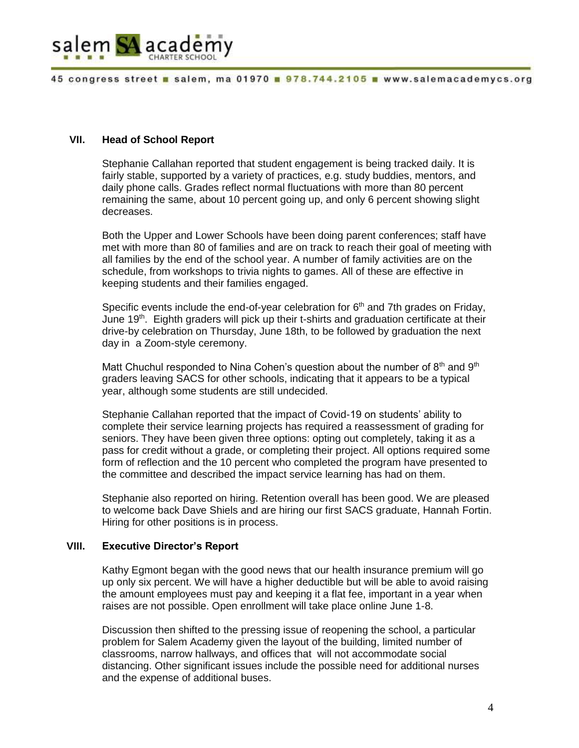

## **VII. Head of School Report**

Stephanie Callahan reported that student engagement is being tracked daily. It is fairly stable, supported by a variety of practices, e.g. study buddies, mentors, and daily phone calls. Grades reflect normal fluctuations with more than 80 percent remaining the same, about 10 percent going up, and only 6 percent showing slight decreases.

Both the Upper and Lower Schools have been doing parent conferences; staff have met with more than 80 of families and are on track to reach their goal of meeting with all families by the end of the school year. A number of family activities are on the schedule, from workshops to trivia nights to games. All of these are effective in keeping students and their families engaged.

Specific events include the end-of-year celebration for  $6<sup>th</sup>$  and 7th grades on Friday, June  $19<sup>th</sup>$ . Eighth graders will pick up their t-shirts and graduation certificate at their drive-by celebration on Thursday, June 18th, to be followed by graduation the next day in a Zoom-style ceremony.

Matt Chuchul responded to Nina Cohen's question about the number of  $8<sup>th</sup>$  and  $9<sup>th</sup>$ graders leaving SACS for other schools, indicating that it appears to be a typical year, although some students are still undecided.

Stephanie Callahan reported that the impact of Covid-19 on students' ability to complete their service learning projects has required a reassessment of grading for seniors. They have been given three options: opting out completely, taking it as a pass for credit without a grade, or completing their project. All options required some form of reflection and the 10 percent who completed the program have presented to the committee and described the impact service learning has had on them.

Stephanie also reported on hiring. Retention overall has been good. We are pleased to welcome back Dave Shiels and are hiring our first SACS graduate, Hannah Fortin. Hiring for other positions is in process.

# **VIII. Executive Director's Report**

Kathy Egmont began with the good news that our health insurance premium will go up only six percent. We will have a higher deductible but will be able to avoid raising the amount employees must pay and keeping it a flat fee, important in a year when raises are not possible. Open enrollment will take place online June 1-8.

Discussion then shifted to the pressing issue of reopening the school, a particular problem for Salem Academy given the layout of the building, limited number of classrooms, narrow hallways, and offices that will not accommodate social distancing. Other significant issues include the possible need for additional nurses and the expense of additional buses.